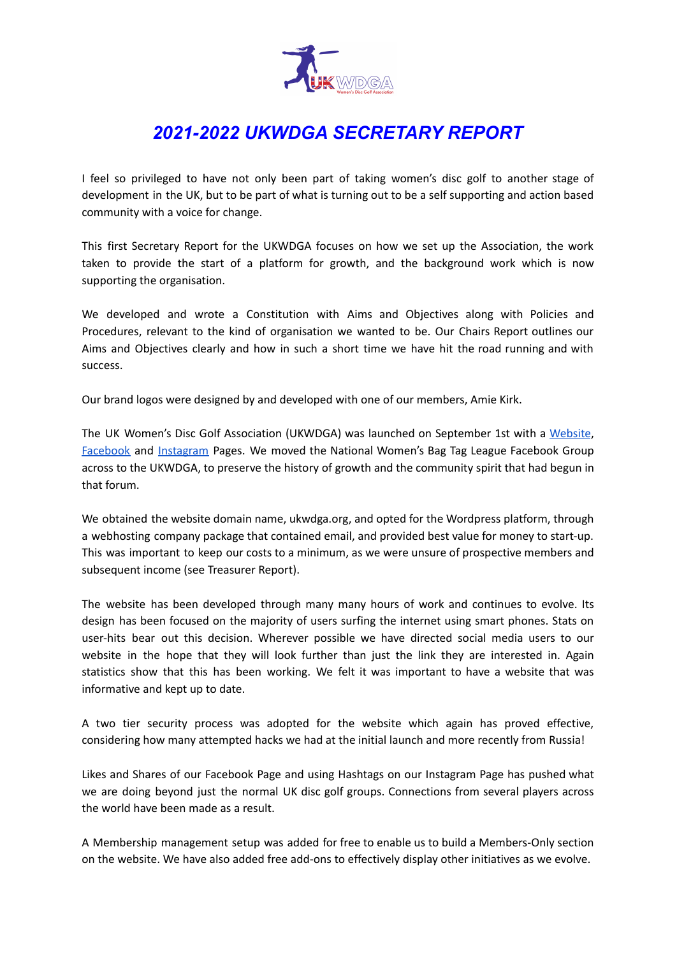

## *2021-2022 UKWDGA SECRETARY REPORT*

I feel so privileged to have not only been part of taking women's disc golf to another stage of development in the UK, but to be part of what is turning out to be a self supporting and action based community with a voice for change.

This first Secretary Report for the UKWDGA focuses on how we set up the Association, the work taken to provide the start of a platform for growth, and the background work which is now supporting the organisation.

We developed and wrote a Constitution with Aims and Objectives along with Policies and Procedures, relevant to the kind of organisation we wanted to be. Our Chairs Report outlines our Aims and Objectives clearly and how in such a short time we have hit the road running and with success.

Our brand logos were designed by and developed with one of our members, Amie Kirk.

The UK Women's Disc Golf Association (UKWDGA) was launched on September 1st with a [Website](https://ukwdga.org/), [Facebook](http://facebook.com/ukwomensdiscgolf) and [Instagram](https://www.instagram.com/ukwdga/) Pages. We moved the National Women's Bag Tag League Facebook Group across to the UKWDGA, to preserve the history of growth and the community spirit that had begun in that forum.

We obtained the website domain name, ukwdga.org, and opted for the Wordpress platform, through a webhosting company package that contained email, and provided best value for money to start-up. This was important to keep our costs to a minimum, as we were unsure of prospective members and subsequent income (see Treasurer Report).

The website has been developed through many many hours of work and continues to evolve. Its design has been focused on the majority of users surfing the internet using smart phones. Stats on user-hits bear out this decision. Wherever possible we have directed social media users to our website in the hope that they will look further than just the link they are interested in. Again statistics show that this has been working. We felt it was important to have a website that was informative and kept up to date.

A two tier security process was adopted for the website which again has proved effective, considering how many attempted hacks we had at the initial launch and more recently from Russia!

Likes and Shares of our Facebook Page and using Hashtags on our Instagram Page has pushed what we are doing beyond just the normal UK disc golf groups. Connections from several players across the world have been made as a result.

A Membership management setup was added for free to enable us to build a Members-Only section on the website. We have also added free add-ons to effectively display other initiatives as we evolve.